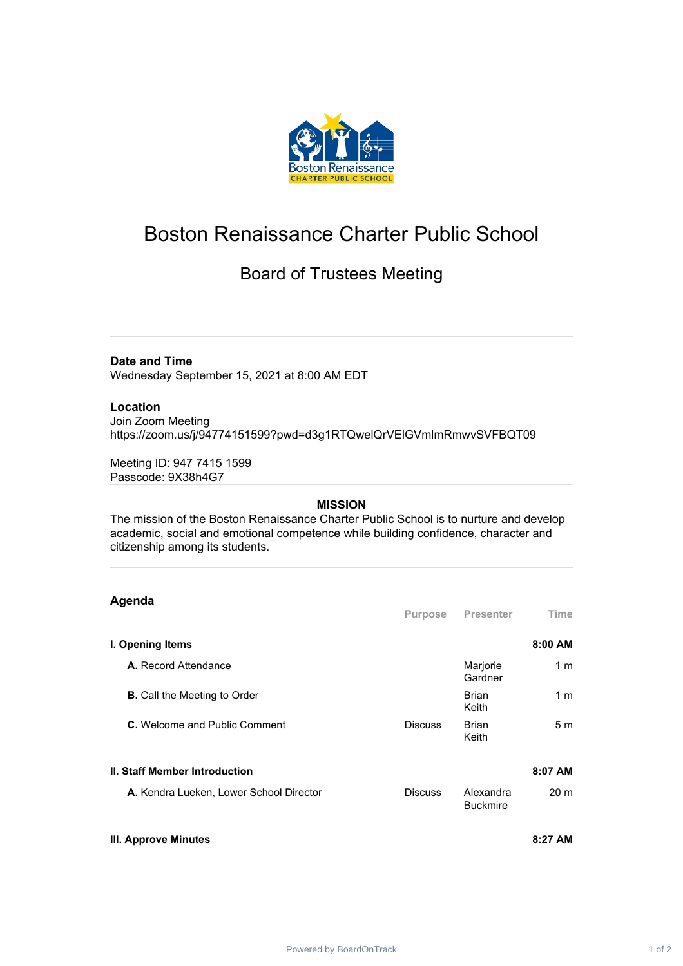

# Boston Renaissance Charter Public School

## Board of Trustees Meeting

**Date and Time**

Wednesday September 15, 2021 at 8:00 AM EDT

#### **Location**

Join Zoom Meeting https://zoom.us/j/94774151599?pwd=d3g1RTQwelQrVElGVmlmRmwvSVFBQT09

Meeting ID: 947 7415 1599 Passcode: 9X38h4G7

#### **MISSION**

The mission of the Boston Renaissance Charter Public School is to nurture and develop academic, social and emotional competence while building confidence, character and citizenship among its students.

### **Agenda**

|                                         | Purpose        | Presenter                    | Time            |
|-----------------------------------------|----------------|------------------------------|-----------------|
| I. Opening Items                        |                |                              | 8:00 AM         |
| A. Record Attendance                    |                | Marjorie<br>Gardner          | 1 m             |
| <b>B.</b> Call the Meeting to Order     |                | <b>Brian</b><br>Keith        | 1 m             |
| C. Welcome and Public Comment           | <b>Discuss</b> | <b>Brian</b><br>Keith        | 5m              |
| <b>II. Staff Member Introduction</b>    |                |                              | 8:07 AM         |
| A. Kendra Lueken, Lower School Director | <b>Discuss</b> | Alexandra<br><b>Buckmire</b> | 20 <sub>m</sub> |

**III. Approve Minutes 8:27 AM**